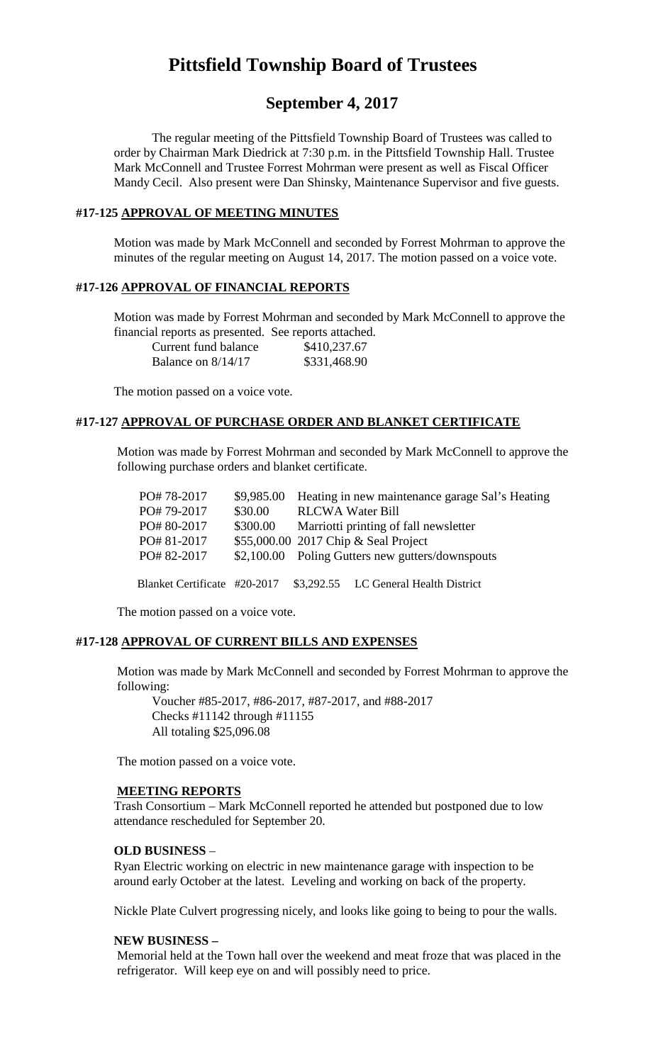# **Pittsfield Township Board of Trustees**

## **September 4, 2017**

The regular meeting of the Pittsfield Township Board of Trustees was called to order by Chairman Mark Diedrick at 7:30 p.m. in the Pittsfield Township Hall. Trustee Mark McConnell and Trustee Forrest Mohrman were present as well as Fiscal Officer Mandy Cecil. Also present were Dan Shinsky, Maintenance Supervisor and five guests.

## **#17-125 APPROVAL OF MEETING MINUTES**

Motion was made by Mark McConnell and seconded by Forrest Mohrman to approve the minutes of the regular meeting on August 14, 2017. The motion passed on a voice vote.

## **#17-126 APPROVAL OF FINANCIAL REPORTS**

Motion was made by Forrest Mohrman and seconded by Mark McConnell to approve the financial reports as presented. See reports attached. Current fund balance \$410,237.67 Balance on 8/14/17 \$331,468.90

The motion passed on a voice vote.

#### **#17-127 APPROVAL OF PURCHASE ORDER AND BLANKET CERTIFICATE**

Motion was made by Forrest Mohrman and seconded by Mark McConnell to approve the following purchase orders and blanket certificate.

| PO#78-2017                   |          |                                                  | \$9,985.00 Heating in new maintenance garage Sal's Heating |
|------------------------------|----------|--------------------------------------------------|------------------------------------------------------------|
| PO#79-2017                   | \$30.00  | <b>RLCWA Water Bill</b>                          |                                                            |
| PO#80-2017                   | \$300.00 | Marriotti printing of fall newsletter            |                                                            |
| PO#81-2017                   |          | \$55,000.00 2017 Chip & Seal Project             |                                                            |
| PO#82-2017                   |          | \$2,100.00 Poling Gutters new gutters/downspouts |                                                            |
|                              |          |                                                  |                                                            |
| Blanket Certificate #20-2017 |          |                                                  | \$3,292.55 LC General Health District                      |

The motion passed on a voice vote.

#### **#17-128 APPROVAL OF CURRENT BILLS AND EXPENSES**

Motion was made by Mark McConnell and seconded by Forrest Mohrman to approve the following:

Voucher #85-2017, #86-2017, #87-2017, and #88-2017 Checks #11142 through #11155 All totaling \$25,096.08

The motion passed on a voice vote.

## **MEETING REPORTS**

Trash Consortium – Mark McConnell reported he attended but postponed due to low attendance rescheduled for September 20.

#### **OLD BUSINESS** –

Ryan Electric working on electric in new maintenance garage with inspection to be around early October at the latest. Leveling and working on back of the property.

Nickle Plate Culvert progressing nicely, and looks like going to being to pour the walls.

## **NEW BUSINESS –**

Memorial held at the Town hall over the weekend and meat froze that was placed in the refrigerator. Will keep eye on and will possibly need to price.